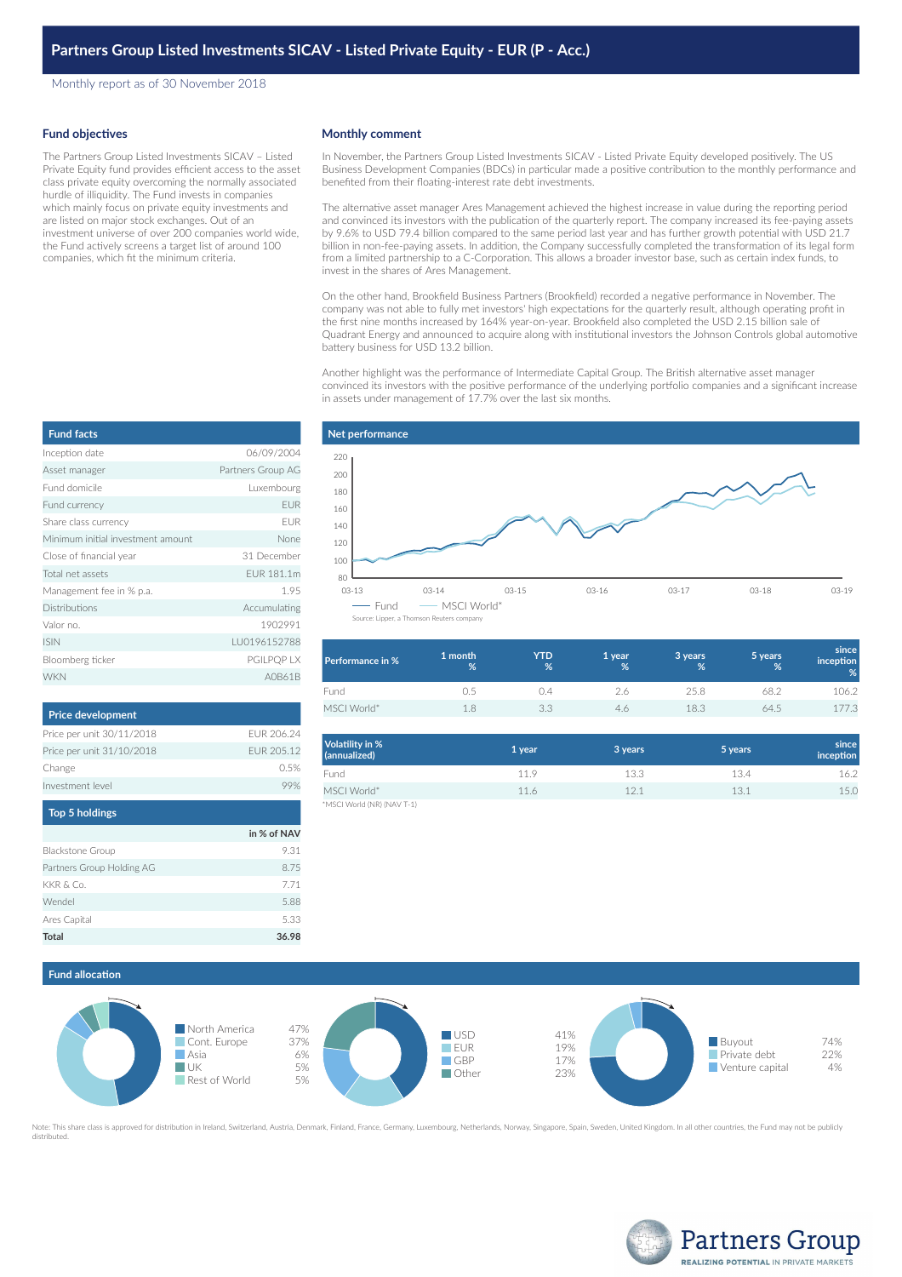Monthly report as of 30 November 2018

#### **Fund objectives**

The Partners Group Listed Investments SICAV – Listed Private Equity fund provides efficient access to the asset class private equity overcoming the normally associated hurdle of illiquidity. The Fund invests in companies which mainly focus on private equity investments and are listed on major stock exchanges. Out of an investment universe of over 200 companies world wide, the Fund actively screens a target list of around 100 companies, which fit the minimum criteria.

### **Monthly comment**

In November, the Partners Group Listed Investments SICAV - Listed Private Equity developed positively. The US Business Development Companies (BDCs) in particular made a positive contribution to the monthly performance and benefited from their floating-interest rate debt investments.

The alternative asset manager Ares Management achieved the highest increase in value during the reporting period and convinced its investors with the publication of the quarterly report. The company increased its fee-paying assets by 9.6% to USD 79.4 billion compared to the same period last year and has further growth potential with USD 21.7 billion in non-fee-paying assets. In addition, the Company successfully completed the transformation of its legal form from a limited partnership to a C-Corporation. This allows a broader investor base, such as certain index funds, to invest in the shares of Ares Management.

On the other hand, Brookfield Business Partners (Brookfield) recorded a negative performance in November. The company was not able to fully met investors' high expectations for the quarterly result, although operating profit in the first nine months increased by 164% year-on-year. Brookfield also completed the USD 2.15 billion sale of Quadrant Energy and announced to acquire along with institutional investors the Johnson Controls global automotive battery business for USD 13.2 billion.

Another highlight was the performance of Intermediate Capital Group. The British alternative asset manager convinced its investors with the positive performance of the underlying portfolio companies and a significant increase in assets under management of 17.7% over the last six months.

| <b>Fund facts</b>                 |                   |
|-----------------------------------|-------------------|
| Inception date                    | 06/09/2004        |
| Asset manager                     | Partners Group AG |
| Fund domicile                     | Luxembourg        |
| Fund currency                     | <b>EUR</b>        |
| Share class currency              | <b>FUR</b>        |
| Minimum initial investment amount | None              |
| Close of financial year           | 31 December       |
| Total net assets                  | FUR 181.1m        |
| Management fee in % p.a.          | 1.95              |
| <b>Distributions</b>              | Accumulating      |
| Valor no.                         | 1902991           |
| <b>ISIN</b>                       | LU0196152788      |
| Bloomberg ticker                  | <b>PGILPOP LX</b> |
| <b>WKN</b>                        | AOB61B            |

| <b>Price development</b>  |            |
|---------------------------|------------|
| Price per unit 30/11/2018 | FUR 206 24 |
| Price per unit 31/10/2018 | FUR 205.12 |
| Change                    | O 5%       |
| Investment level          |            |
|                           |            |

| Top 5 holdings            |             |
|---------------------------|-------------|
|                           | in % of NAV |
| <b>Blackstone Group</b>   | 9.31        |
| Partners Group Holding AG | 8.75        |
| KKR & Co.                 | 7.71        |
| Wendel                    | 5.88        |
| Ares Capital              | 5.33        |
| <b>Total</b>              | 36.98       |



| Performance in % | 1 month<br>% | YTD<br>%      | 1 year<br>% | 3 years<br>% | 5 years<br>% | since<br>inception<br>% |
|------------------|--------------|---------------|-------------|--------------|--------------|-------------------------|
| Fund             |              | $\frac{1}{2}$ | 2.6         | 25.8         | 68.2         | 106.2                   |
| MSCI World*      | 1 9          |               | 4.6         | 18.3         | 64.5         | 177.3                   |

| Volatility in %<br>(annualized) | 1 year | 3 years | 5 years | since<br>inception |
|---------------------------------|--------|---------|---------|--------------------|
| Fund                            | 11.9   | 13.3    | 13.4    | 16.2               |
| MSCI World*                     | 11.6   | 12.1    | 13.1    | 15.0               |
| *MSCI World (NR) (NAV T-1)      |        |         |         |                    |

**Fund allocation**



Note: This share class is approved for distribution in Ireland, Switzerland, Austria, Denmark, Finland, France, Germany, Luxembourg, Netherlands, Norway, Singapore, Spain, Sweden, United Kingdom. In all other countries, th distributed.